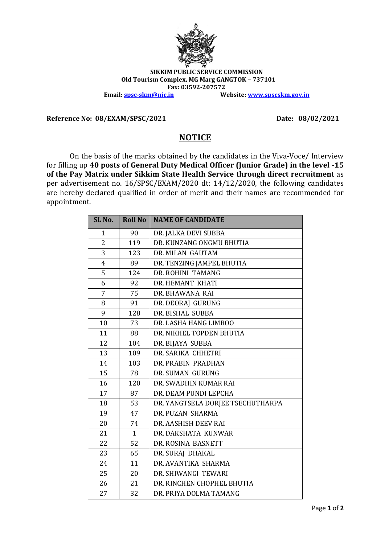

## **SIKKIM PUBLIC SERVICE COMMISSION Old Tourism Complex, MG Marg GANGTOK – 737101 Fax: 03592-207572 Email: [spsc-skm@nic.in](mailto:spsc-skm@nic.in) Website: [www.spscskm.gov.in](http://www.spscskm.gov.in/)**

**Reference No: 08/EXAM/SPSC/2021 Date: 08/02/2021**

## **NOTICE**

On the basis of the marks obtained by the candidates in the Viva-Voce/ Interview for filling up **40 posts of General Duty Medical Officer (Junior Grade) in the level -15 of the Pay Matrix under Sikkim State Health Service through direct recruitment** as per advertisement no. 16/SPSC/EXAM/2020 dt: 14/12/2020, the following candidates are hereby declared qualified in order of merit and their names are recommended for appointment.

| SL <sub>No.</sub>       | <b>Roll No</b> | <b>NAME OF CANDIDATE</b>          |
|-------------------------|----------------|-----------------------------------|
| 1                       | 90             | DR. JALKA DEVI SUBBA              |
| $\overline{2}$          | 119            | DR. KUNZANG ONGMU BHUTIA          |
| 3                       | 123            | DR. MILAN GAUTAM                  |
| $\overline{\mathbf{4}}$ | 89             | DR. TENZING JAMPEL BHUTIA         |
| 5                       | 124            | DR. ROHINI TAMANG                 |
| 6                       | 92             | DR. HEMANT KHATI                  |
| 7                       | 75             | DR. BHAWANA RAI                   |
| 8                       | 91             | DR. DEORAJ GURUNG                 |
| 9                       | 128            | DR. BISHAL SUBBA                  |
| 10                      | 73             | DR. LASHA HANG LIMBOO             |
| 11                      | 88             | DR. NIKHEL TOPDEN BHUTIA          |
| 12                      | 104            | DR. BIJAYA SUBBA                  |
| 13                      | 109            | DR. SARIKA CHHETRI                |
| 14                      | 103            | DR. PRABIN PRADHAN                |
| 15                      | 78             | DR. SUMAN GURUNG                  |
| 16                      | 120            | DR. SWADHIN KUMAR RAI             |
| 17                      | 87             | DR. DEAM PUNDI LEPCHA             |
| 18                      | 53             | DR. YANGTSELA DORJEE TSECHUTHARPA |
| 19                      | 47             | DR. PUZAN SHARMA                  |
| 20                      | 74             | DR. AASHISH DEEV RAI              |
| 21                      | $\mathbf{1}$   | DR. DAKSHATA KUNWAR               |
| 22                      | 52             | DR. ROSINA BASNETT                |
| 23                      | 65             | DR. SURAJ DHAKAL                  |
| 24                      | 11             | DR. AVANTIKA SHARMA               |
| 25                      | 20             | DR. SHIWANGI TEWARI               |
| 26                      | 21             | DR. RINCHEN CHOPHEL BHUTIA        |
| 27                      | 32             | DR. PRIYA DOLMA TAMANG            |